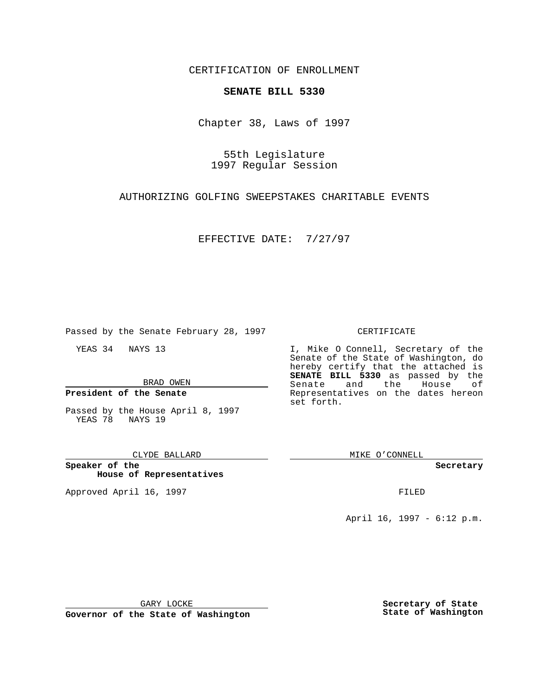CERTIFICATION OF ENROLLMENT

# **SENATE BILL 5330**

Chapter 38, Laws of 1997

55th Legislature 1997 Regular Session

AUTHORIZING GOLFING SWEEPSTAKES CHARITABLE EVENTS

EFFECTIVE DATE: 7/27/97

Passed by the Senate February 28, 1997

YEAS 34 NAYS 13

BRAD OWEN

**President of the Senate**

Passed by the House April 8, 1997 YEAS 78 NAYS 19

### CLYDE BALLARD

**Speaker of the House of Representatives**

Approved April 16, 1997 **FILED** 

### CERTIFICATE

I, Mike O Connell, Secretary of the Senate of the State of Washington, do hereby certify that the attached is **SENATE BILL 5330** as passed by the Senate and the House of Representatives on the dates hereon set forth.

MIKE O'CONNELL

#### **Secretary**

April 16, 1997 - 6:12 p.m.

GARY LOCKE

**Governor of the State of Washington**

**Secretary of State State of Washington**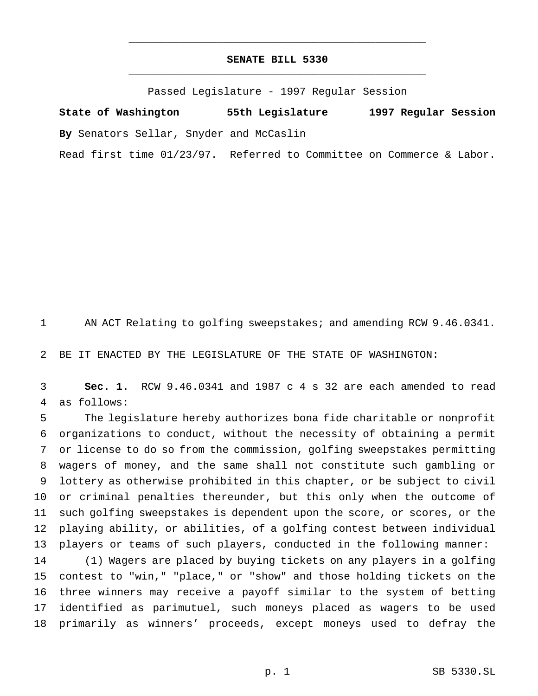## **SENATE BILL 5330** \_\_\_\_\_\_\_\_\_\_\_\_\_\_\_\_\_\_\_\_\_\_\_\_\_\_\_\_\_\_\_\_\_\_\_\_\_\_\_\_\_\_\_\_\_\_\_

\_\_\_\_\_\_\_\_\_\_\_\_\_\_\_\_\_\_\_\_\_\_\_\_\_\_\_\_\_\_\_\_\_\_\_\_\_\_\_\_\_\_\_\_\_\_\_

Passed Legislature - 1997 Regular Session

**State of Washington 55th Legislature 1997 Regular Session By** Senators Sellar, Snyder and McCaslin

Read first time 01/23/97. Referred to Committee on Commerce & Labor.

AN ACT Relating to golfing sweepstakes; and amending RCW 9.46.0341.

BE IT ENACTED BY THE LEGISLATURE OF THE STATE OF WASHINGTON:

 **Sec. 1.** RCW 9.46.0341 and 1987 c 4 s 32 are each amended to read as follows:

 The legislature hereby authorizes bona fide charitable or nonprofit organizations to conduct, without the necessity of obtaining a permit or license to do so from the commission, golfing sweepstakes permitting wagers of money, and the same shall not constitute such gambling or lottery as otherwise prohibited in this chapter, or be subject to civil or criminal penalties thereunder, but this only when the outcome of such golfing sweepstakes is dependent upon the score, or scores, or the playing ability, or abilities, of a golfing contest between individual players or teams of such players, conducted in the following manner: (1) Wagers are placed by buying tickets on any players in a golfing contest to "win," "place," or "show" and those holding tickets on the three winners may receive a payoff similar to the system of betting

 identified as parimutuel, such moneys placed as wagers to be used primarily as winners' proceeds, except moneys used to defray the